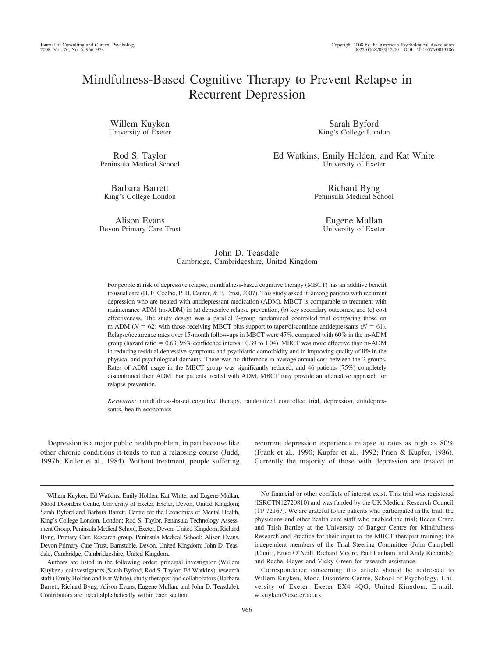# Mindfulness-Based Cognitive Therapy to Prevent Relapse in Recurrent Depression

Willem Kuyken University of Exeter

Rod S. Taylor Peninsula Medical School

Barbara Barrett King's College London

Alison Evans Devon Primary Care Trust

Sarah Byford King's College London

Ed Watkins, Emily Holden, and Kat White University of Exeter

> Richard Byng Peninsula Medical School

> > Eugene Mullan University of Exeter

# John D. Teasdale Cambridge, Cambridgeshire, United Kingdom

For people at risk of depressive relapse, mindfulness-based cognitive therapy (MBCT) has an additive benefit to usual care (H. F. Coelho, P. H. Canter, & E. Ernst, 2007). This study asked if, among patients with recurrent depression who are treated with antidepressant medication (ADM), MBCT is comparable to treatment with maintenance ADM (m-ADM) in (a) depressive relapse prevention, (b) key secondary outcomes, and (c) cost effectiveness. The study design was a parallel 2-group randomized controlled trial comparing those on m-ADM ( $N = 62$ ) with those receiving MBCT plus support to taper/discontinue antidepressants ( $N = 61$ ). Relapse/recurrence rates over 15-month follow-ups in MBCT were 47%, compared with 60% in the m-ADM group (hazard ratio  $= 0.63$ ; 95% confidence interval: 0.39 to 1.04). MBCT was more effective than m-ADM in reducing residual depressive symptoms and psychiatric comorbidity and in improving quality of life in the physical and psychological domains. There was no difference in average annual cost between the 2 groups. Rates of ADM usage in the MBCT group was significantly reduced, and 46 patients (75%) completely discontinued their ADM. For patients treated with ADM, MBCT may provide an alternative approach for relapse prevention.

*Keywords:* mindfulness-based cognitive therapy, randomized controlled trial, depression, antidepressants, health economics

Depression is a major public health problem, in part because like other chronic conditions it tends to run a relapsing course (Judd, 1997b; Keller et al., 1984). Without treatment, people suffering

Willem Kuyken, Ed Watkins, Emily Holden, Kat White, and Eugene Mullan, Mood Disorders Centre, University of Exeter, Exeter, Devon, United Kingdom; Sarah Byford and Barbara Barrett, Centre for the Economics of Mental Health, King's College London, London; Rod S. Taylor, Peninsula Technology Assessment Group, Peninsula Medical School, Exeter, Devon, United Kingdom; Richard Byng, Primary Care Research group, Peninsula Medical School; Alison Evans, Devon Primary Care Trust, Barnstable, Devon, United Kingdom; John D. Teasdale, Cambridge, Cambridgeshire, United Kingdom.

Authors are listed in the following order: principal investigator (Willem Kuyken), coinvestigators (Sarah Byford, Rod S. Taylor, Ed Watkins), research staff (Emily Holden and Kat White), study therapist and collaborators (Barbara Barrett, Richard Byng, Alison Evans, Eugene Mullan, and John D. Teasdale). Contributors are listed alphabetically within each section.

(ISRCTN12720810) and was funded by the UK Medical Research Council (TP 72167). We are grateful to the patients who participated in the trial; the physicians and other health care staff who enabled the trial; Becca Crane

and Trish Bartley at the University of Bangor Centre for Mindfulness Research and Practice for their input to the MBCT therapist training; the independent members of the Trial Steering Committee (John Campbell [Chair], Emer O'Neill, Richard Moore, Paul Lanham, and Andy Richards); and Rachel Hayes and Vicky Green for research assistance.

No financial or other conflicts of interest exist. This trial was registered

recurrent depression experience relapse at rates as high as 80% (Frank et al., 1990; Kupfer et al., 1992; Prien & Kupfer, 1986). Currently the majority of those with depression are treated in

Correspondence concerning this article should be addressed to Willem Kuyken, Mood Disorders Centre, School of Psychology, University of Exeter, Exeter EX4 4QG, United Kingdom. E-mail: w.kuyken@exeter.ac.uk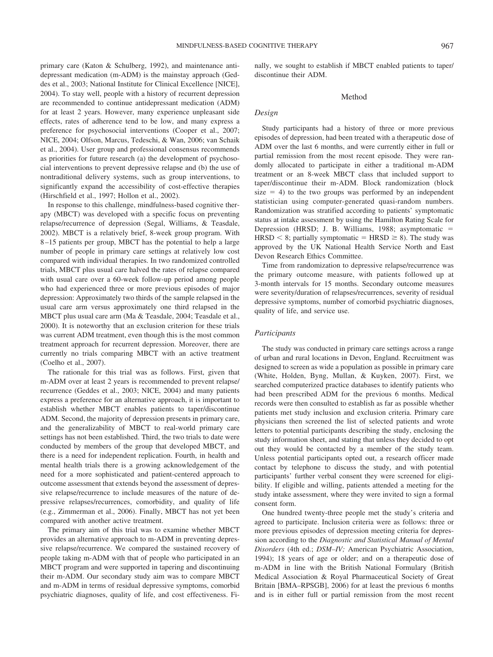primary care (Katon & Schulberg, 1992), and maintenance antidepressant medication (m-ADM) is the mainstay approach (Geddes et al., 2003; National Institute for Clinical Excellence [NICE], 2004). To stay well, people with a history of recurrent depression are recommended to continue antidepressant medication (ADM) for at least 2 years. However, many experience unpleasant side effects, rates of adherence tend to be low, and many express a preference for psychosocial interventions (Cooper et al., 2007; NICE, 2004; Olfson, Marcus, Tedeschi, & Wan, 2006; van Schaik et al., 2004). User group and professional consensus recommends as priorities for future research (a) the development of psychosocial interventions to prevent depressive relapse and (b) the use of nontraditional delivery systems, such as group interventions, to significantly expand the accessibility of cost-effective therapies (Hirschfield et al., 1997; Hollon et al., 2002).

In response to this challenge, mindfulness-based cognitive therapy (MBCT) was developed with a specific focus on preventing relapse/recurrence of depression (Segal, Williams, & Teasdale, 2002). MBCT is a relatively brief, 8-week group program. With 8 –15 patients per group, MBCT has the potential to help a large number of people in primary care settings at relatively low cost compared with individual therapies. In two randomized controlled trials, MBCT plus usual care halved the rates of relapse compared with usual care over a 60-week follow-up period among people who had experienced three or more previous episodes of major depression: Approximately two thirds of the sample relapsed in the usual care arm versus approximately one third relapsed in the MBCT plus usual care arm (Ma & Teasdale, 2004; Teasdale et al., 2000). It is noteworthy that an exclusion criterion for these trials was current ADM treatment, even though this is the most common treatment approach for recurrent depression. Moreover, there are currently no trials comparing MBCT with an active treatment (Coelho et al., 2007).

The rationale for this trial was as follows. First, given that m-ADM over at least 2 years is recommended to prevent relapse/ recurrence (Geddes et al., 2003; NICE, 2004) and many patients express a preference for an alternative approach, it is important to establish whether MBCT enables patients to taper/discontinue ADM. Second, the majority of depression presents in primary care, and the generalizability of MBCT to real-world primary care settings has not been established. Third, the two trials to date were conducted by members of the group that developed MBCT, and there is a need for independent replication. Fourth, in health and mental health trials there is a growing acknowledgement of the need for a more sophisticated and patient-centered approach to outcome assessment that extends beyond the assessment of depressive relapse/recurrence to include measures of the nature of depressive relapses/recurrences, comorbidity, and quality of life (e.g., Zimmerman et al., 2006). Finally, MBCT has not yet been compared with another active treatment.

The primary aim of this trial was to examine whether MBCT provides an alternative approach to m-ADM in preventing depressive relapse/recurrence. We compared the sustained recovery of people taking m-ADM with that of people who participated in an MBCT program and were supported in tapering and discontinuing their m-ADM. Our secondary study aim was to compare MBCT and m-ADM in terms of residual depressive symptoms, comorbid psychiatric diagnoses, quality of life, and cost effectiveness. Finally, we sought to establish if MBCT enabled patients to taper/ discontinue their ADM.

# Method

## *Design*

Study participants had a history of three or more previous episodes of depression, had been treated with a therapeutic dose of ADM over the last 6 months, and were currently either in full or partial remission from the most recent episode. They were randomly allocated to participate in either a traditional m-ADM treatment or an 8-week MBCT class that included support to taper/discontinue their m-ADM. Block randomization (block size  $= 4$ ) to the two groups was performed by an independent statistician using computer-generated quasi-random numbers. Randomization was stratified according to patients' symptomatic status at intake assessment by using the Hamilton Rating Scale for Depression (HRSD; J. B. Williams, 1988; asymptomatic  $HRSD < 8$ ; partially symptomatic =  $HRSD \ge 8$ ). The study was approved by the UK National Health Service North and East Devon Research Ethics Committee.

Time from randomization to depressive relapse/recurrence was the primary outcome measure, with patients followed up at 3-month intervals for 15 months. Secondary outcome measures were severity/duration of relapses/recurrences, severity of residual depressive symptoms, number of comorbid psychiatric diagnoses, quality of life, and service use.

#### *Participants*

The study was conducted in primary care settings across a range of urban and rural locations in Devon, England. Recruitment was designed to screen as wide a population as possible in primary care (White, Holden, Byng, Mullan, & Kuyken, 2007). First, we searched computerized practice databases to identify patients who had been prescribed ADM for the previous 6 months. Medical records were then consulted to establish as far as possible whether patients met study inclusion and exclusion criteria. Primary care physicians then screened the list of selected patients and wrote letters to potential participants describing the study, enclosing the study information sheet, and stating that unless they decided to opt out they would be contacted by a member of the study team. Unless potential participants opted out, a research officer made contact by telephone to discuss the study, and with potential participants' further verbal consent they were screened for eligibility. If eligible and willing, patients attended a meeting for the study intake assessment, where they were invited to sign a formal consent form.

One hundred twenty-three people met the study's criteria and agreed to participate. Inclusion criteria were as follows: three or more previous episodes of depression meeting criteria for depression according to the *Diagnostic and Statistical Manual of Mental Disorders* (4th ed.; *DSM–IV;* American Psychiatric Association, 1994); 18 years of age or older; and on a therapeutic dose of m-ADM in line with the British National Formulary (British Medical Association & Royal Pharmaceutical Society of Great Britain [BMA–RPSGB], 2006) for at least the previous 6 months and is in either full or partial remission from the most recent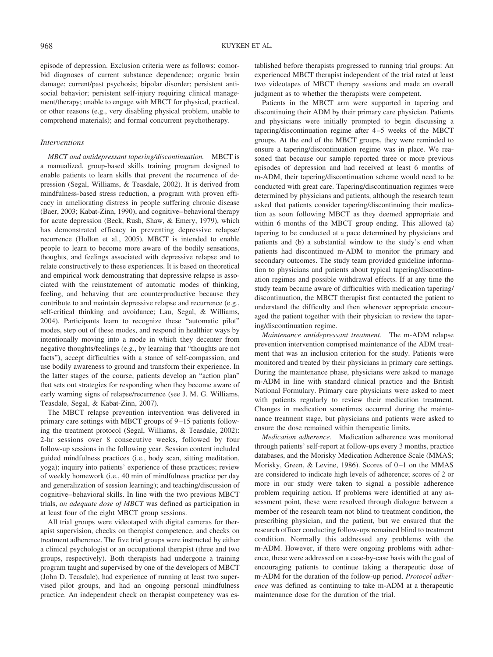episode of depression. Exclusion criteria were as follows: comorbid diagnoses of current substance dependence; organic brain damage; current/past psychosis; bipolar disorder; persistent antisocial behavior; persistent self-injury requiring clinical management/therapy; unable to engage with MBCT for physical, practical, or other reasons (e.g., very disabling physical problem, unable to comprehend materials); and formal concurrent psychotherapy.

## *Interventions*

*MBCT and antidepressant tapering/discontinuation.* MBCT is a manualized, group-based skills training program designed to enable patients to learn skills that prevent the recurrence of depression (Segal, Williams, & Teasdale, 2002). It is derived from mindfulness-based stress reduction, a program with proven efficacy in ameliorating distress in people suffering chronic disease (Baer, 2003; Kabat-Zinn, 1990), and cognitive– behavioral therapy for acute depression (Beck, Rush, Shaw, & Emery, 1979), which has demonstrated efficacy in preventing depressive relapse/ recurrence (Hollon et al., 2005). MBCT is intended to enable people to learn to become more aware of the bodily sensations, thoughts, and feelings associated with depressive relapse and to relate constructively to these experiences. It is based on theoretical and empirical work demonstrating that depressive relapse is associated with the reinstatement of automatic modes of thinking, feeling, and behaving that are counterproductive because they contribute to and maintain depressive relapse and recurrence (e.g., self-critical thinking and avoidance; Lau, Segal, & Williams, 2004). Participants learn to recognize these "automatic pilot" modes, step out of these modes, and respond in healthier ways by intentionally moving into a mode in which they decenter from negative thoughts/feelings (e.g., by learning that "thoughts are not facts"), accept difficulties with a stance of self-compassion, and use bodily awareness to ground and transform their experience. In the latter stages of the course, patients develop an "action plan" that sets out strategies for responding when they become aware of early warning signs of relapse/recurrence (see J. M. G. Williams, Teasdale, Segal, & Kabat-Zinn, 2007).

The MBCT relapse prevention intervention was delivered in primary care settings with MBCT groups of 9 –15 patients following the treatment protocol (Segal, Williams, & Teasdale, 2002): 2-hr sessions over 8 consecutive weeks, followed by four follow-up sessions in the following year. Session content included guided mindfulness practices (i.e., body scan, sitting meditation, yoga); inquiry into patients' experience of these practices; review of weekly homework (i.e., 40 min of mindfulness practice per day and generalization of session learning); and teaching/discussion of cognitive– behavioral skills. In line with the two previous MBCT trials, *an adequate dose of MBCT* was defined as participation in at least four of the eight MBCT group sessions.

All trial groups were videotaped with digital cameras for therapist supervision, checks on therapist competence, and checks on treatment adherence. The five trial groups were instructed by either a clinical psychologist or an occupational therapist (three and two groups, respectively). Both therapists had undergone a training program taught and supervised by one of the developers of MBCT (John D. Teasdale), had experience of running at least two supervised pilot groups, and had an ongoing personal mindfulness practice. An independent check on therapist competency was established before therapists progressed to running trial groups: An experienced MBCT therapist independent of the trial rated at least two videotapes of MBCT therapy sessions and made an overall judgment as to whether the therapists were competent.

Patients in the MBCT arm were supported in tapering and discontinuing their ADM by their primary care physician. Patients and physicians were initially prompted to begin discussing a tapering/discontinuation regime after 4 –5 weeks of the MBCT groups. At the end of the MBCT groups, they were reminded to ensure a tapering/discontinuation regime was in place. We reasoned that because our sample reported three or more previous episodes of depression and had received at least 6 months of m-ADM, their tapering/discontinuation scheme would need to be conducted with great care. Tapering/discontinuation regimes were determined by physicians and patients, although the research team asked that patients consider tapering/discontinuing their medication as soon following MBCT as they deemed appropriate and within 6 months of the MBCT group ending. This allowed (a) tapering to be conducted at a pace determined by physicians and patients and (b) a substantial window to the study's end when patients had discontinued m-ADM to monitor the primary and secondary outcomes. The study team provided guideline information to physicians and patients about typical tapering/discontinuation regimes and possible withdrawal effects. If at any time the study team became aware of difficulties with medication tapering/ discontinuation, the MBCT therapist first contacted the patient to understand the difficulty and then wherever appropriate encouraged the patient together with their physician to review the tapering/discontinuation regime.

*Maintenance antidepressant treatment.* The m-ADM relapse prevention intervention comprised maintenance of the ADM treatment that was an inclusion criterion for the study. Patients were monitored and treated by their physicians in primary care settings. During the maintenance phase, physicians were asked to manage m-ADM in line with standard clinical practice and the British National Formulary. Primary care physicians were asked to meet with patients regularly to review their medication treatment. Changes in medication sometimes occurred during the maintenance treatment stage, but physicians and patients were asked to ensure the dose remained within therapeutic limits.

*Medication adherence.* Medication adherence was monitored through patients' self-report at follow-ups every 3 months, practice databases, and the Morisky Medication Adherence Scale (MMAS; Morisky, Green, & Levine, 1986). Scores of 0-1 on the MMAS are considered to indicate high levels of adherence; scores of 2 or more in our study were taken to signal a possible adherence problem requiring action. If problems were identified at any assessment point, these were resolved through dialogue between a member of the research team not blind to treatment condition, the prescribing physician, and the patient, but we ensured that the research officer conducting follow-ups remained blind to treatment condition. Normally this addressed any problems with the m-ADM. However, if there were ongoing problems with adherence, these were addressed on a case-by-case basis with the goal of encouraging patients to continue taking a therapeutic dose of m-ADM for the duration of the follow-up period. *Protocol adherence* was defined as continuing to take m-ADM at a therapeutic maintenance dose for the duration of the trial.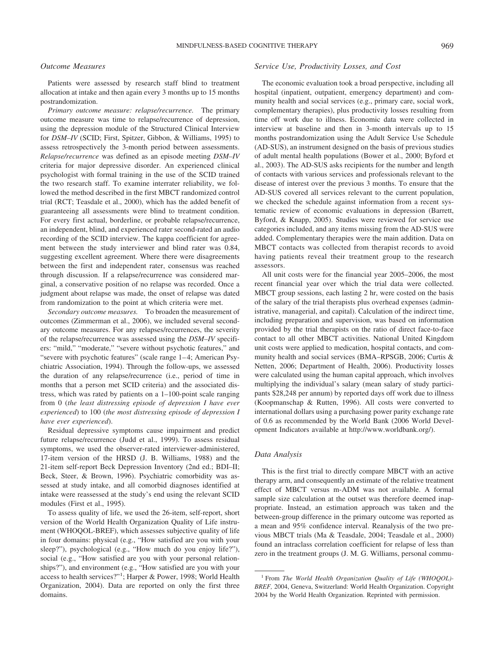## *Outcome Measures*

Patients were assessed by research staff blind to treatment allocation at intake and then again every 3 months up to 15 months postrandomization.

*Primary outcome measure: relapse/recurrence.* The primary outcome measure was time to relapse/recurrence of depression, using the depression module of the Structured Clinical Interview for *DSM–IV* (SCID; First, Spitzer, Gibbon, & Williams, 1995) to assess retrospectively the 3-month period between assessments. *Relapse/recurrence* was defined as an episode meeting *DSM–IV* criteria for major depressive disorder. An experienced clinical psychologist with formal training in the use of the SCID trained the two research staff. To examine interrater reliability, we followed the method described in the first MBCT randomized control trial (RCT; Teasdale et al., 2000), which has the added benefit of guaranteeing all assessments were blind to treatment condition. For every first actual, borderline, or probable relapse/recurrence, an independent, blind, and experienced rater second-rated an audio recording of the SCID interview. The kappa coefficient for agreement between the study interviewer and blind rater was 0.84, suggesting excellent agreement. Where there were disagreements between the first and independent rater, consensus was reached through discussion. If a relapse/recurrence was considered marginal, a conservative position of no relapse was recorded. Once a judgment about relapse was made, the onset of relapse was dated from randomization to the point at which criteria were met.

*Secondary outcome measures.* To broaden the measurement of outcomes (Zimmerman et al., 2006), we included several secondary outcome measures. For any relapses/recurrences, the severity of the relapse/recurrence was assessed using the *DSM–IV* specifiers: "mild," "moderate," "severe without psychotic features," and "severe with psychotic features" (scale range 1–4; American Psychiatric Association, 1994). Through the follow-ups, we assessed the duration of any relapse/recurrence (i.e., period of time in months that a person met SCID criteria) and the associated distress, which was rated by patients on a 1–100-point scale ranging from 0 (*the least distressing episode of depression I have ever experienced*) to 100 (*the most distressing episode of depression I have ever experienced*).

Residual depressive symptoms cause impairment and predict future relapse/recurrence (Judd et al., 1999). To assess residual symptoms, we used the observer-rated interviewer-administered, 17-item version of the HRSD (J. B. Williams, 1988) and the 21-item self-report Beck Depression Inventory (2nd ed.; BDI–II; Beck, Steer, & Brown, 1996). Psychiatric comorbidity was assessed at study intake, and all comorbid diagnoses identified at intake were reassessed at the study's end using the relevant SCID modules (First et al., 1995).

To assess quality of life, we used the 26-item, self-report, short version of the World Health Organization Quality of Life instrument (WHOQOL-BREF), which assesses subjective quality of life in four domains: physical (e.g., "How satisfied are you with your sleep?"), psychological (e.g., "How much do you enjoy life?"), social (e.g., "How satisfied are you with your personal relationships?"), and environment (e.g., "How satisfied are you with your access to health services?"1 ; Harper & Power, 1998; World Health Organization, 2004). Data are reported on only the first three domains.

# *Service Use, Productivity Losses, and Cost*

The economic evaluation took a broad perspective, including all hospital (inpatient, outpatient, emergency department) and community health and social services (e.g., primary care, social work, complementary therapies), plus productivity losses resulting from time off work due to illness. Economic data were collected in interview at baseline and then in 3-month intervals up to 15 months postrandomization using the Adult Service Use Schedule (AD-SUS), an instrument designed on the basis of previous studies of adult mental health populations (Bower et al., 2000; Byford et al., 2003). The AD-SUS asks recipients for the number and length of contacts with various services and professionals relevant to the disease of interest over the previous 3 months. To ensure that the AD-SUS covered all services relevant to the current population, we checked the schedule against information from a recent systematic review of economic evaluations in depression (Barrett, Byford, & Knapp, 2005). Studies were reviewed for service use categories included, and any items missing from the AD-SUS were added. Complementary therapies were the main addition. Data on MBCT contacts was collected from therapist records to avoid having patients reveal their treatment group to the research assessors.

All unit costs were for the financial year 2005–2006, the most recent financial year over which the trial data were collected. MBCT group sessions, each lasting 2 hr, were costed on the basis of the salary of the trial therapists plus overhead expenses (administrative, managerial, and capital). Calculation of the indirect time, including preparation and supervision, was based on information provided by the trial therapists on the ratio of direct face-to-face contact to all other MBCT activities. National United Kingdom unit costs were applied to medication, hospital contacts, and community health and social services (BMA–RPSGB, 2006; Curtis & Netten, 2006; Department of Health, 2006). Productivity losses were calculated using the human capital approach, which involves multiplying the individual's salary (mean salary of study participants \$28,248 per annum) by reported days off work due to illness (Koopmanschap & Rutten, 1996). All costs were converted to international dollars using a purchasing power parity exchange rate of 0.6 as recommended by the World Bank (2006 World Development Indicators available at http://www.worldbank.org/).

#### *Data Analysis*

This is the first trial to directly compare MBCT with an active therapy arm, and consequently an estimate of the relative treatment effect of MBCT versus m-ADM was not available. A formal sample size calculation at the outset was therefore deemed inappropriate. Instead, an estimation approach was taken and the between-group difference in the primary outcome was reported as a mean and 95% confidence interval. Reanalysis of the two previous MBCT trials (Ma & Teasdale, 2004; Teasdale et al., 2000) found an intraclass correlation coefficient for relapse of less than zero in the treatment groups (J. M. G. Williams, personal commu-

<sup>1</sup> From *The World Health Organization Quality of Life (WHOQOL)- BREF,* 2004, Geneva, Switzerland: World Health Organization. Copyright 2004 by the World Health Organization. Reprinted with permission.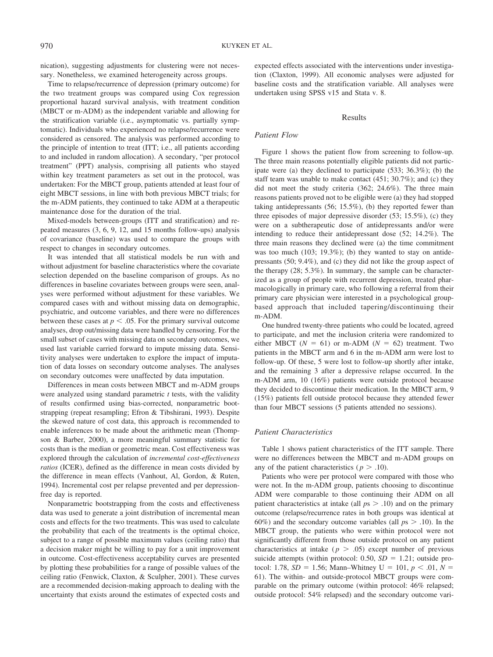nication), suggesting adjustments for clustering were not necessary. Nonetheless, we examined heterogeneity across groups.

Time to relapse/recurrence of depression (primary outcome) for the two treatment groups was compared using Cox regression proportional hazard survival analysis, with treatment condition (MBCT or m-ADM) as the independent variable and allowing for the stratification variable (i.e., asymptomatic vs. partially symptomatic). Individuals who experienced no relapse/recurrence were considered as censored. The analysis was performed according to the principle of intention to treat (ITT; i.e., all patients according to and included in random allocation). A secondary, "per protocol treatment" (PPT) analysis, comprising all patients who stayed within key treatment parameters as set out in the protocol, was undertaken: For the MBCT group, patients attended at least four of eight MBCT sessions, in line with both previous MBCT trials; for the m-ADM patients, they continued to take ADM at a therapeutic maintenance dose for the duration of the trial.

Mixed-models between-groups (ITT and stratification) and repeated measures (3, 6, 9, 12, and 15 months follow-ups) analysis of covariance (baseline) was used to compare the groups with respect to changes in secondary outcomes.

It was intended that all statistical models be run with and without adjustment for baseline characteristics where the covariate selection depended on the baseline comparison of groups. As no differences in baseline covariates between groups were seen, analyses were performed without adjustment for these variables. We compared cases with and without missing data on demographic, psychiatric, and outcome variables, and there were no differences between these cases at  $p < .05$ . For the primary survival outcome analyses, drop out/missing data were handled by censoring. For the small subset of cases with missing data on secondary outcomes, we used last variable carried forward to impute missing data. Sensitivity analyses were undertaken to explore the impact of imputation of data losses on secondary outcome analyses. The analyses on secondary outcomes were unaffected by data imputation.

Differences in mean costs between MBCT and m-ADM groups were analyzed using standard parametric *t* tests, with the validity of results confirmed using bias-corrected, nonparametric bootstrapping (repeat resampling; Efron & Tibshirani, 1993). Despite the skewed nature of cost data, this approach is recommended to enable inferences to be made about the arithmetic mean (Thompson & Barber, 2000), a more meaningful summary statistic for costs than is the median or geometric mean. Cost effectiveness was explored through the calculation of *incremental cost-effectiveness ratios* (ICER), defined as the difference in mean costs divided by the difference in mean effects (Vanhout, Al, Gordon, & Ruten, 1994). Incremental cost per relapse prevented and per depressionfree day is reported.

Nonparametric bootstrapping from the costs and effectiveness data was used to generate a joint distribution of incremental mean costs and effects for the two treatments. This was used to calculate the probability that each of the treatments is the optimal choice, subject to a range of possible maximum values (ceiling ratio) that a decision maker might be willing to pay for a unit improvement in outcome. Cost-effectiveness acceptability curves are presented by plotting these probabilities for a range of possible values of the ceiling ratio (Fenwick, Claxton, & Sculpher, 2001). These curves are a recommended decision-making approach to dealing with the uncertainty that exists around the estimates of expected costs and expected effects associated with the interventions under investigation (Claxton, 1999). All economic analyses were adjusted for baseline costs and the stratification variable. All analyses were undertaken using SPSS v15 and Stata v. 8.

## Results

## *Patient Flow*

Figure 1 shows the patient flow from screening to follow-up. The three main reasons potentially eligible patients did not participate were (a) they declined to participate (533; 36.3%); (b) the staff team was unable to make contact (451; 30.7%); and (c) they did not meet the study criteria (362; 24.6%). The three main reasons patients proved not to be eligible were (a) they had stopped taking antidepressants (56; 15.5%), (b) they reported fewer than three episodes of major depressive disorder (53; 15.5%), (c) they were on a subtherapeutic dose of antidepressants and/or were intending to reduce their antidepressant dose (52; 14.2%). The three main reasons they declined were (a) the time commitment was too much (103; 19.3%); (b) they wanted to stay on antidepressants (50; 9.4%), and (c) they did not like the group aspect of the therapy (28; 5.3%). In summary, the sample can be characterized as a group of people with recurrent depression, treated pharmacologically in primary care, who following a referral from their primary care physician were interested in a psychological groupbased approach that included tapering/discontinuing their m-ADM.

One hundred twenty-three patients who could be located, agreed to participate, and met the inclusion criteria were randomized to either MBCT  $(N = 61)$  or m-ADM  $(N = 62)$  treatment. Two patients in the MBCT arm and 6 in the m-ADM arm were lost to follow-up. Of these, 5 were lost to follow-up shortly after intake, and the remaining 3 after a depressive relapse occurred. In the m-ADM arm, 10 (16%) patients were outside protocol because they decided to discontinue their medication. In the MBCT arm, 9 (15%) patients fell outside protocol because they attended fewer than four MBCT sessions (5 patients attended no sessions).

# *Patient Characteristics*

Table 1 shows patient characteristics of the ITT sample. There were no differences between the MBCT and m-ADM groups on any of the patient characteristics ( $p > .10$ ).

Patients who were per protocol were compared with those who were not. In the m-ADM group, patients choosing to discontinue ADM were comparable to those continuing their ADM on all patient characteristics at intake (all  $p_s > .10$ ) and on the primary outcome (relapse/recurrence rates in both groups was identical at 60%) and the secondary outcome variables (all  $p_s > .10$ ). In the MBCT group, the patients who were within protocol were not significantly different from those outside protocol on any patient characteristics at intake ( $p > .05$ ) except number of previous suicide attempts (within protocol:  $0.50$ ,  $SD = 1.21$ ; outside protocol: 1.78,  $SD = 1.56$ ; Mann–Whitney  $U = 101$ ,  $p < .01$ ,  $N =$ 61). The within- and outside-protocol MBCT groups were comparable on the primary outcome (within protocol: 46% relapsed; outside protocol: 54% relapsed) and the secondary outcome vari-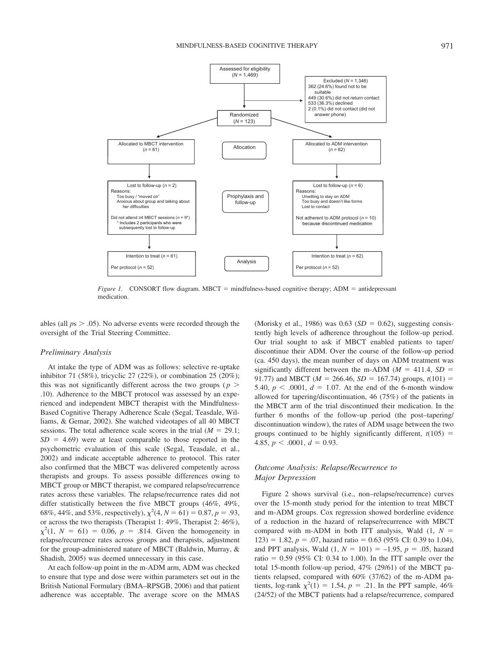

*Figure 1.* CONSORT flow diagram. MBCT = mindfulness-based cognitive therapy;  $ADM$  = antidepressant medication.

ables (all  $ps > .05$ ). No adverse events were recorded through the oversight of the Trial Steering Committee.

## *Preliminary Analysis*

At intake the type of ADM was as follows: selective re-uptake inhibitor 71 (58%), tricyclic 27 (22%), or combination 25 (20%); this was not significantly different across the two groups ( $p >$ .10). Adherence to the MBCT protocol was assessed by an experienced and independent MBCT therapist with the Mindfulness-Based Cognitive Therapy Adherence Scale (Segal, Teasdale, Williams, & Gemar, 2002). She watched videotapes of all 40 MBCT sessions. The total adherence scale scores in the trial  $(M = 29.1;$  $SD = 4.69$ ) were at least comparable to those reported in the psychometric evaluation of this scale (Segal, Teasdale, et al., 2002) and indicate acceptable adherence to protocol. This rater also confirmed that the MBCT was delivered competently across therapists and groups. To assess possible differences owing to MBCT group or MBCT therapist, we compared relapse/recurrence rates across these variables. The relapse/recurrence rates did not differ statistically between the five MBCT groups (46%, 49%, 68%, 44%, and 53%, respectively),  $\chi^2(4, N = 61) = 0.87, p = .93$ , or across the two therapists (Therapist 1: 49%, Therapist 2: 46%),  $\chi^2(1, N = 61) = 0.06, p = .814$ . Given the homogeneity in relapse/recurrence rates across groups and therapists, adjustment for the group-administered nature of MBCT (Baldwin, Murray, & Shadish, 2005) was deemed unnecessary in this case.

At each follow-up point in the m-ADM arm, ADM was checked to ensure that type and dose were within parameters set out in the British National Formulary (BMA–RPSGB, 2006) and that patient adherence was acceptable. The average score on the MMAS (Morisky et al., 1986) was  $0.63$  ( $SD = 0.62$ ), suggesting consistently high levels of adherence throughout the follow-up period. Our trial sought to ask if MBCT enabled patients to taper/ discontinue their ADM. Over the course of the follow-up period (ca. 450 days), the mean number of days on ADM treatment was significantly different between the m-ADM ( $M = 411.4$ ,  $SD =$ 91.77) and MBCT ( $M = 266.46$ ,  $SD = 167.74$ ) groups,  $t(101) =$ 5.40,  $p < .0001$ ,  $d = 1.07$ . At the end of the 6-month window allowed for tapering/discontinuation, 46 (75%) of the patients in the MBCT arm of the trial discontinued their medication. In the further 6 months of the follow-up period (the post–tapering/ discontinuation window), the rates of ADM usage between the two groups continued to be highly significantly different,  $t(105)$  =  $4.85, p < .0001, d = 0.93.$ 

# *Outcome Analysis: Relapse/Recurrence to Major Depression*

Figure 2 shows survival (i.e., non–relapse/recurrence) curves over the 15-month study period for the intention to treat MBCT and m-ADM groups. Cox regression showed borderline evidence of a reduction in the hazard of relapse/recurrence with MBCT compared with m-ADM in both ITT analysis, Wald  $(1, N =$  $123$ ) = 1.82,  $p = .07$ , hazard ratio = 0.63 (95% CI: 0.39 to 1.04), and PPT analysis, Wald  $(1, N = 101) = -1.95$ ,  $p = .05$ , hazard ratio  $= 0.59$  (95% CI: 0.34 to 1.00). In the ITT sample over the total 15-month follow-up period, 47% (29/61) of the MBCT patients relapsed, compared with 60% (37/62) of the m-ADM patients, log-rank  $\chi^2(1) = 1.54$ ,  $p = .21$ . In the PPT sample, 46% (24/52) of the MBCT patients had a relapse/recurrence, compared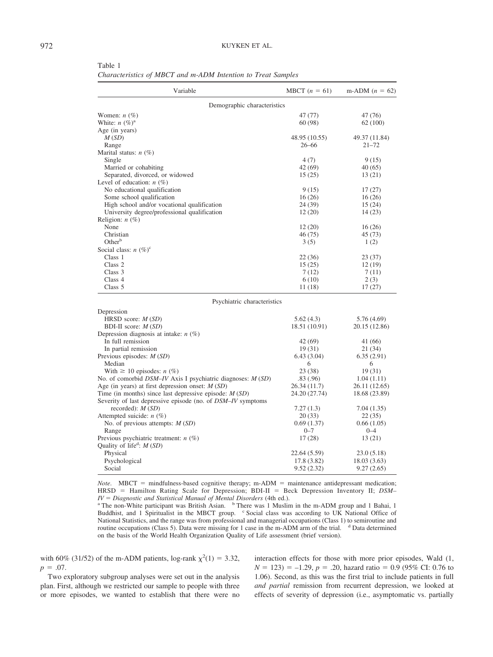| Variable                                                    | MBCT $(n = 61)$ | m-ADM $(n = 62)$ |  |  |  |  |  |  |
|-------------------------------------------------------------|-----------------|------------------|--|--|--|--|--|--|
| Demographic characteristics                                 |                 |                  |  |  |  |  |  |  |
| Women: $n$ (%)                                              | 47 (77)         | 47 (76)          |  |  |  |  |  |  |
| White: $n (\%)^a$                                           | 60(98)          | 62 (100)         |  |  |  |  |  |  |
| Age (in years)                                              |                 |                  |  |  |  |  |  |  |
| M(SD)                                                       | 48.95 (10.55)   | 49.37 (11.84)    |  |  |  |  |  |  |
| Range                                                       | $26 - 66$       | $21 - 72$        |  |  |  |  |  |  |
| Marital status: $n$ (%)                                     |                 |                  |  |  |  |  |  |  |
| Single                                                      | 4(7)            | 9(15)            |  |  |  |  |  |  |
| Married or cohabiting                                       | 42 (69)         | 40 (65)          |  |  |  |  |  |  |
| Separated, divorced, or widowed                             | 15(25)          | 13(21)           |  |  |  |  |  |  |
| Level of education: $n$ (%)                                 |                 |                  |  |  |  |  |  |  |
| No educational qualification                                | 9(15)           | 17(27)           |  |  |  |  |  |  |
| Some school qualification                                   | 16(26)          | 16(26)           |  |  |  |  |  |  |
| High school and/or vocational qualification                 | 24 (39)         | 15(24)           |  |  |  |  |  |  |
| University degree/professional qualification                | 12(20)          | 14 (23)          |  |  |  |  |  |  |
| Religion: $n$ (%)                                           |                 |                  |  |  |  |  |  |  |
| None                                                        | 12(20)          | 16(26)           |  |  |  |  |  |  |
| Christian                                                   | 46 (75)         | 45 (73)          |  |  |  |  |  |  |
| Other <sup>b</sup>                                          | 3(5)            | 1(2)             |  |  |  |  |  |  |
| Social class: $n (\%)^c$                                    |                 |                  |  |  |  |  |  |  |
| Class 1                                                     | 22 (36)         | 23 (37)          |  |  |  |  |  |  |
| Class 2                                                     | 15(25)          | 12(19)           |  |  |  |  |  |  |
| Class 3                                                     | 7(12)           | 7(11)            |  |  |  |  |  |  |
| Class 4                                                     | 6(10)           | 2(3)             |  |  |  |  |  |  |
| Class 5                                                     | 11 (18)         | 17(27)           |  |  |  |  |  |  |
| Psychiatric characteristics                                 |                 |                  |  |  |  |  |  |  |
| Depression                                                  |                 |                  |  |  |  |  |  |  |
| HRSD score: $M(SD)$                                         | 5.62(4.3)       | 5.76 (4.69)      |  |  |  |  |  |  |
| BDI-II score: $M(SD)$                                       | 18.51 (10.91)   | 20.15 (12.86)    |  |  |  |  |  |  |
| Depression diagnosis at intake: $n$ (%)                     |                 |                  |  |  |  |  |  |  |
| In full remission                                           | 42 (69)         | 41 (66)          |  |  |  |  |  |  |
| In partial remission                                        | 19(31)          | 21 (34)          |  |  |  |  |  |  |
| Previous episodes: $M(SD)$                                  | 6.43(3.04)      | 6.35(2.91)       |  |  |  |  |  |  |
| Median                                                      | 6               | 6                |  |  |  |  |  |  |
| With $\geq 10$ episodes: <i>n</i> $(\%)$                    | 23 (38)         | 19(31)           |  |  |  |  |  |  |
| No. of comorbid DSM-IV Axis I psychiatric diagnoses: M (SD) | .83(.96)        | 1.04(1.11)       |  |  |  |  |  |  |
| Age (in years) at first depression onset: $M(SD)$           | 26.34 (11.7)    | 26.11 (12.65)    |  |  |  |  |  |  |
| Time (in months) since last depressive episode: $M(SD)$     | 24.20 (27.74)   | 18.68 (23.89)    |  |  |  |  |  |  |
|                                                             |                 |                  |  |  |  |  |  |  |
| Severity of last depressive episode (no. of DSM-IV symptoms |                 |                  |  |  |  |  |  |  |
| recorded): $M(SD)$                                          | 7.27(1.3)       | 7.04 (1.35)      |  |  |  |  |  |  |
| Attempted suicide: $n$ (%)                                  | 20(33)          | 22(35)           |  |  |  |  |  |  |
| No. of previous attempts: $M(SD)$                           | 0.69(1.37)      | 0.66(1.05)       |  |  |  |  |  |  |
| Range                                                       | $0 - 7$         | $0 - 4$          |  |  |  |  |  |  |
| Previous psychiatric treatment: $n$ (%)                     | 17(28)          | 13(21)           |  |  |  |  |  |  |
| Quality of life <sup>d</sup> : $M(SD)$                      |                 |                  |  |  |  |  |  |  |
| Physical                                                    | 22.64 (5.59)    | 23.0 (5.18)      |  |  |  |  |  |  |
| Psychological                                               | 17.8 (3.82)     | 18.03 (3.63)     |  |  |  |  |  |  |
| Social                                                      | 9.52(2.32)      | 9.27(2.65)       |  |  |  |  |  |  |

Table 1 *Characteristics of MBCT and m-ADM Intention to Treat Samples*

*Note*. MBCT = mindfulness-based cognitive therapy; m-ADM = maintenance antidepressant medication; HRSD = Hamilton Rating Scale for Depression; BDI-II = Beck Depression Inventory II; *DSM*-

*IV* = *Diagnostic and Statistical Manual of Mental Disorders* (4th ed.).  $\frac{a}{n}$  The non-White participant was British Asian.  $\frac{b}{n}$  There was 1 Muslim in the m-ADM group and 1 Bahai, 1 Buddhist, and 1 Spiritualist in the MBCT group. <sup>c</sup> Social class was according to UK National Office of National Statistics, and the range was from professional and managerial occupations (Class 1) to semiroutine and routine occupations (Class 5). Data were missing for 1 case in the m-ADM arm of the trial. d Data determined on the basis of the World Health Organization Quality of Life assessment (brief version).

with 60% (31/52) of the m-ADM patients, log-rank  $\chi^2(1) = 3.32$ ,  $p = .07$ .

Two exploratory subgroup analyses were set out in the analysis plan. First, although we restricted our sample to people with three or more episodes, we wanted to establish that there were no interaction effects for those with more prior episodes, Wald (1,  $N = 123$ ) = -1.29,  $p = .20$ , hazard ratio = 0.9 (95% CI: 0.76 to 1.06). Second, as this was the first trial to include patients in full *and partial* remission from recurrent depression, we looked at effects of severity of depression (i.e., asymptomatic vs. partially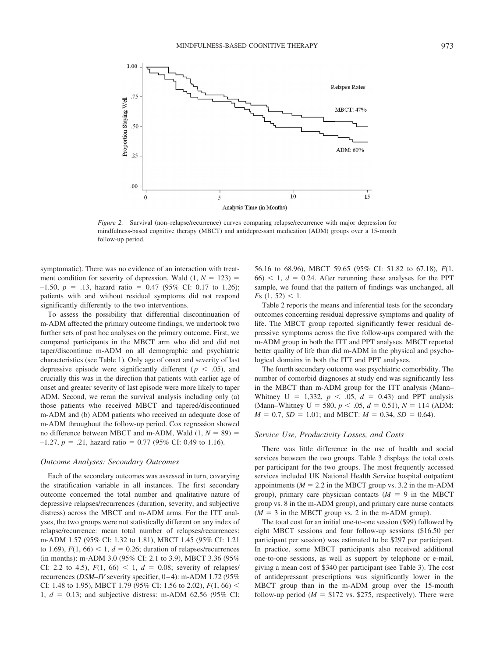

*Figure 2.* Survival (non–relapse/recurrence) curves comparing relapse/recurrence with major depression for mindfulness-based cognitive therapy (MBCT) and antidepressant medication (ADM) groups over a 15-month follow-up period.

symptomatic). There was no evidence of an interaction with treatment condition for severity of depression, Wald  $(1, N = 123)$  $-1.50, p = .13$ , hazard ratio = 0.47 (95% CI: 0.17 to 1.26); patients with and without residual symptoms did not respond significantly differently to the two interventions.

To assess the possibility that differential discontinuation of m-ADM affected the primary outcome findings, we undertook two further sets of post hoc analyses on the primary outcome. First, we compared participants in the MBCT arm who did and did not taper/discontinue m-ADM on all demographic and psychiatric characteristics (see Table 1). Only age of onset and severity of last depressive episode were significantly different ( $p < .05$ ), and crucially this was in the direction that patients with earlier age of onset and greater severity of last episode were more likely to taper ADM. Second, we reran the survival analysis including only (a) those patients who received MBCT and tapered/discontinued m-ADM and (b) ADM patients who received an adequate dose of m-ADM throughout the follow-up period. Cox regression showed no difference between MBCT and m-ADM, Wald  $(1, N = 89)$  =  $-1.27$ ,  $p = .21$ , hazard ratio = 0.77 (95% CI: 0.49 to 1.16).

## *Outcome Analyses: Secondary Outcomes*

Each of the secondary outcomes was assessed in turn, covarying the stratification variable in all instances. The first secondary outcome concerned the total number and qualitative nature of depressive relapses/recurrences (duration, severity, and subjective distress) across the MBCT and m-ADM arms. For the ITT analyses, the two groups were not statistically different on any index of relapse/recurrence: mean total number of relapses/recurrences: m-ADM 1.57 (95% CI: 1.32 to 1.81), MBCT 1.45 (95% CI: 1.21 to 1.69),  $F(1, 66) < 1, d = 0.26$ ; duration of relapses/recurrences (in months): m-ADM 3.0 (95% CI: 2.1 to 3.9), MBCT 3.36 (95% CI: 2.2 to 4.5),  $F(1, 66) < 1, d = 0.08$ ; severity of relapses/ recurrences (*DSM–IV* severity specifier, 0–4): m-ADM 1.72 (95%) CI: 1.48 to 1.95), MBCT 1.79 (95% CI: 1.56 to 2.02),  $F(1, 66)$  < 1,  $d = 0.13$ ; and subjective distress: m-ADM 62.56 (95% CI: 56.16 to 68.96), MBCT 59.65 (95% CI: 51.82 to 67.18), *F*(1,  $66$ )  $\leq$  1,  $d$  = 0.24. After rerunning these analyses for the PPT sample, we found that the pattern of findings was unchanged, all  $Fs(1, 52) < 1.$ 

Table 2 reports the means and inferential tests for the secondary outcomes concerning residual depressive symptoms and quality of life. The MBCT group reported significantly fewer residual depressive symptoms across the five follow-ups compared with the m-ADM group in both the ITT and PPT analyses. MBCT reported better quality of life than did m-ADM in the physical and psychological domains in both the ITT and PPT analyses.

The fourth secondary outcome was psychiatric comorbidity. The number of comorbid diagnoses at study end was significantly less in the MBCT than m-ADM group for the ITT analysis (Mann– Whitney  $U = 1,332, p \leq .05, d = 0.43$  and PPT analysis (Mann–Whitney U = 580,  $p < .05$ ,  $d = 0.51$ ),  $N = 114$  (ADM:  $M = 0.7$ ,  $SD = 1.01$ ; and MBCT:  $M = 0.34$ ,  $SD = 0.64$ ).

#### *Service Use, Productivity Losses, and Costs*

There was little difference in the use of health and social services between the two groups. Table 3 displays the total costs per participant for the two groups. The most frequently accessed services included UK National Health Service hospital outpatient appointments ( $M = 2.2$  in the MBCT group vs. 3.2 in the m-ADM group), primary care physician contacts  $(M = 9)$  in the MBCT group vs. 8 in the m-ADM group), and primary care nurse contacts  $(M = 3$  in the MBCT group vs. 2 in the m-ADM group).

The total cost for an initial one-to-one session (\$99) followed by eight MBCT sessions and four follow-up sessions (\$16.50 per participant per session) was estimated to be \$297 per participant. In practice, some MBCT participants also received additional one-to-one sessions, as well as support by telephone or e-mail, giving a mean cost of \$340 per participant (see Table 3). The cost of antidepressant prescriptions was significantly lower in the MBCT group than in the m-ADM group over the 15-month follow-up period ( $M = $172$  vs. \$275, respectively). There were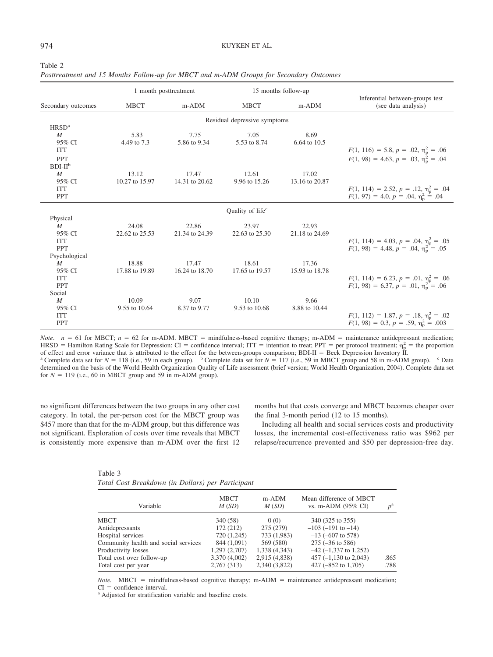Table 2

|                            |                         | 15 months follow-up     |                              | 1 month posttreatment |                                                                                                            |  |
|----------------------------|-------------------------|-------------------------|------------------------------|-----------------------|------------------------------------------------------------------------------------------------------------|--|
| Secondary outcomes         | <b>MBCT</b>             | m-ADM                   | <b>MBCT</b>                  | m-ADM                 | Inferential between-groups test<br>(see data analysis)                                                     |  |
|                            |                         |                         | Residual depressive symptoms |                       |                                                                                                            |  |
| HRSD <sup>a</sup>          |                         |                         |                              |                       |                                                                                                            |  |
| $\boldsymbol{M}$           | 5.83                    | 7.75                    | 7.05                         | 8.69                  |                                                                                                            |  |
| 95% CI                     | 4.49 to 7.3             | 5.86 to 9.34            | 5.53 to 8.74                 | 6.64 to 10.5          |                                                                                                            |  |
| <b>ITT</b>                 |                         |                         |                              |                       | $F(1, 116) = 5.8, p = .02, \eta_{p}^{2} = .06$                                                             |  |
| <b>PPT</b>                 |                         |                         |                              |                       | $F(1, 98) = 4.63, p = .03, \eta_p^2 = .04$                                                                 |  |
| $BDI-IIb$                  |                         |                         |                              |                       |                                                                                                            |  |
| $\boldsymbol{M}$           | 13.12                   | 17.47                   | 12.61                        | 17.02                 |                                                                                                            |  |
| 95% CI                     | 10.27 to 15.97          | 14.31 to 20.62          | 9.96 to 15.26                | 13.16 to 20.87        |                                                                                                            |  |
| <b>ITT</b>                 |                         |                         |                              |                       |                                                                                                            |  |
| <b>PPT</b>                 |                         |                         |                              |                       | $F(1, 114) = 2.52, p = .12, \eta_{\text{p}}^2 = .04$<br>$F(1, 97) = 4.0, p = .04, \eta_{\text{p}}^2 = .04$ |  |
|                            |                         |                         |                              |                       |                                                                                                            |  |
|                            |                         |                         | Quality of life <sup>c</sup> |                       |                                                                                                            |  |
| Physical                   |                         |                         |                              | 22.93                 |                                                                                                            |  |
| $\boldsymbol{M}$<br>95% CI | 24.08<br>22.62 to 25.53 | 22.86<br>21.34 to 24.39 | 23.97<br>22.63 to 25.30      | 21.18 to 24.69        |                                                                                                            |  |
| <b>ITT</b>                 |                         |                         |                              |                       | $F(1, 114) = 4.03, p = .04, \eta_{\rm p}^2 = .05$                                                          |  |
| <b>PPT</b>                 |                         |                         |                              |                       | $F(1, 98) = 4.48, p = .04, \eta_p^2 = .05$                                                                 |  |
| Psychological              |                         |                         |                              |                       |                                                                                                            |  |
| $\boldsymbol{M}$           | 18.88                   | 17.47                   | 18.61                        | 17.36                 |                                                                                                            |  |
| 95% CI                     | 17.88 to 19.89          | 16.24 to 18.70          | 17.65 to 19.57               | 15.93 to 18.78        |                                                                                                            |  |
| <b>ITT</b>                 |                         |                         |                              |                       |                                                                                                            |  |
| <b>PPT</b>                 |                         |                         |                              |                       | $F(1, 114) = 6.23, p = .01, \eta_{\rm p}^2 = .06$<br>$F(1, 98) = 6.37, p = .01, \eta_{\rm p}^2 = .06$      |  |
| Social                     |                         |                         |                              |                       |                                                                                                            |  |
| $\boldsymbol{M}$           | 10.09                   | 9.07                    | 10.10                        | 9.66                  |                                                                                                            |  |
| 95% CI                     | 9.55 to 10.64           | 8.37 to 9.77            | 9.53 to 10.68                | 8.88 to 10.44         |                                                                                                            |  |
| <b>ITT</b>                 |                         |                         |                              |                       |                                                                                                            |  |
| <b>PPT</b>                 |                         |                         |                              |                       | $F(1, 112) = 1.87, p = .18, \eta_{\rm p}^2 = .02$<br>$F(1, 98) = 0.3, p = .59, \eta_{\rm p}^2 = .003$      |  |

*Posttreatment and 15 Months Follow-up for MBCT and m-ADM Groups for Secondary Outcomes*

*Note.*  $n = 61$  for MBCT;  $n = 62$  for m-ADM. MBCT = mindfulness-based cognitive therapy; m-ADM = maintenance antidepressant medication; HRSD = Hamilton Rating Scale for Depression; CI = confidence interval; ITT = intention to treat; PPT = per protocol treatment;  $\eta_p^2$  = the proportion of effect and error variance that is attributed to the effect for the between-groups comparison; BDI-II = Beck Depression Inventory II.<br><sup>a</sup> Complete data set for  $N = 118$  (i.e., 59 in each group). <sup>b</sup> Complete data set fo determined on the basis of the World Health Organization Quality of Life assessment (brief version; World Health Organization, 2004). Complete data set for  $N = 119$  (i.e., 60 in MBCT group and 59 in m-ADM group).

no significant differences between the two groups in any other cost category. In total, the per-person cost for the MBCT group was \$457 more than that for the m-ADM group, but this difference was not significant. Exploration of costs over time reveals that MBCT is consistently more expensive than m-ADM over the first 12 months but that costs converge and MBCT becomes cheaper over the final 3-month period (12 to 15 months).

Including all health and social services costs and productivity losses, the incremental cost-effectiveness ratio was \$962 per relapse/recurrence prevented and \$50 per depression-free day.

Table 3 *Total Cost Breakdown (in Dollars) per Participant*

| Variable                             | <b>MBCT</b><br>M(SD) | $m-ADM$<br>M(SD) | Mean difference of MBCT<br>vs. m-ADM (95% CI) | $p^{\rm a}$ |
|--------------------------------------|----------------------|------------------|-----------------------------------------------|-------------|
| <b>MBCT</b>                          | 340 (58)             | 0(0)             | 340 (325 to 355)                              |             |
| Antidepressants                      | 172(212)             | 275 (279)        | $-103$ ( $-191$ to $-14$ )                    |             |
| Hospital services                    | 720 (1,245)          | 733 (1,983)      | $-13$ (-607 to 578)                           |             |
| Community health and social services | 844 (1,091)          | 569 (580)        | $275 (-36 \text{ to } 586)$                   |             |
| Productivity losses                  | 1,297(2,707)         | 1,338 (4,343)    | $-42$ ( $-1,337$ to 1,252)                    |             |
| Total cost over follow-up            | 3,370 (4,002)        | 2,915 (4,838)    | $457 (-1,130 \text{ to } 2,043)$              | .865        |
| Total cost per year                  | 2,767(313)           | 2,340 (3,822)    | 427 $(-852 \text{ to } 1,705)$                | .788        |

*Note.* MBCT = mindfulness-based cognitive therapy; m-ADM = maintenance antidepressant medication;  $CI =$  confidence interval.

<sup>a</sup> Adjusted for stratification variable and baseline costs.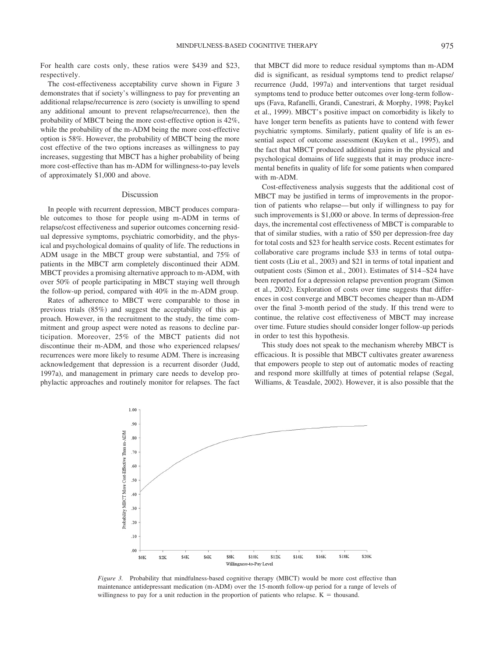For health care costs only, these ratios were \$439 and \$23, respectively.

The cost-effectiveness acceptability curve shown in Figure 3 demonstrates that if society's willingness to pay for preventing an additional relapse/recurrence is zero (society is unwilling to spend any additional amount to prevent relapse/recurrence), then the probability of MBCT being the more cost-effective option is 42%, while the probability of the m-ADM being the more cost-effective option is 58%. However, the probability of MBCT being the more cost effective of the two options increases as willingness to pay increases, suggesting that MBCT has a higher probability of being more cost-effective than has m-ADM for willingness-to-pay levels of approximately \$1,000 and above.

#### Discussion

In people with recurrent depression, MBCT produces comparable outcomes to those for people using m-ADM in terms of relapse/cost effectiveness and superior outcomes concerning residual depressive symptoms, psychiatric comorbidity, and the physical and psychological domains of quality of life. The reductions in ADM usage in the MBCT group were substantial, and 75% of patients in the MBCT arm completely discontinued their ADM. MBCT provides a promising alternative approach to m-ADM, with over 50% of people participating in MBCT staying well through the follow-up period, compared with 40% in the m-ADM group.

Rates of adherence to MBCT were comparable to those in previous trials (85%) and suggest the acceptability of this approach. However, in the recruitment to the study, the time commitment and group aspect were noted as reasons to decline participation. Moreover, 25% of the MBCT patients did not discontinue their m-ADM, and those who experienced relapses/ recurrences were more likely to resume ADM. There is increasing acknowledgement that depression is a recurrent disorder (Judd, 1997a), and management in primary care needs to develop prophylactic approaches and routinely monitor for relapses. The fact that MBCT did more to reduce residual symptoms than m-ADM did is significant, as residual symptoms tend to predict relapse/ recurrence (Judd, 1997a) and interventions that target residual symptoms tend to produce better outcomes over long-term followups (Fava, Rafanelli, Grandi, Canestrari, & Morphy, 1998; Paykel et al., 1999). MBCT's positive impact on comorbidity is likely to have longer term benefits as patients have to contend with fewer psychiatric symptoms. Similarly, patient quality of life is an essential aspect of outcome assessment (Kuyken et al., 1995), and the fact that MBCT produced additional gains in the physical and psychological domains of life suggests that it may produce incremental benefits in quality of life for some patients when compared with m-ADM.

Cost-effectiveness analysis suggests that the additional cost of MBCT may be justified in terms of improvements in the proportion of patients who relapse— but only if willingness to pay for such improvements is \$1,000 or above. In terms of depression-free days, the incremental cost effectiveness of MBCT is comparable to that of similar studies, with a ratio of \$50 per depression-free day for total costs and \$23 for health service costs. Recent estimates for collaborative care programs include \$33 in terms of total outpatient costs (Liu et al., 2003) and \$21 in terms of total inpatient and outpatient costs (Simon et al., 2001). Estimates of \$14 –\$24 have been reported for a depression relapse prevention program (Simon et al., 2002). Exploration of costs over time suggests that differences in cost converge and MBCT becomes cheaper than m-ADM over the final 3-month period of the study. If this trend were to continue, the relative cost effectiveness of MBCT may increase over time. Future studies should consider longer follow-up periods in order to test this hypothesis.

This study does not speak to the mechanism whereby MBCT is efficacious. It is possible that MBCT cultivates greater awareness that empowers people to step out of automatic modes of reacting and respond more skillfully at times of potential relapse (Segal, Williams, & Teasdale, 2002). However, it is also possible that the



*Figure 3.* Probability that mindfulness-based cognitive therapy (MBCT) would be more cost effective than maintenance antidepressant medication (m-ADM) over the 15-month follow-up period for a range of levels of willingness to pay for a unit reduction in the proportion of patients who relapse.  $K =$  thousand.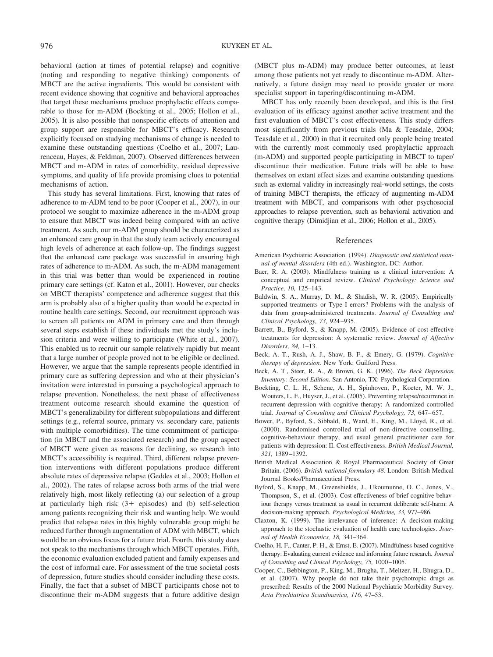behavioral (action at times of potential relapse) and cognitive (noting and responding to negative thinking) components of MBCT are the active ingredients. This would be consistent with recent evidence showing that cognitive and behavioral approaches that target these mechanisms produce prophylactic effects comparable to those for m-ADM (Bockting et al., 2005; Hollon et al., 2005). It is also possible that nonspecific effects of attention and group support are responsible for MBCT's efficacy. Research explicitly focused on studying mechanisms of change is needed to examine these outstanding questions (Coelho et al., 2007; Laurenceau, Hayes, & Feldman, 2007). Observed differences between MBCT and m-ADM in rates of comorbidity, residual depressive symptoms, and quality of life provide promising clues to potential mechanisms of action.

This study has several limitations. First, knowing that rates of adherence to m-ADM tend to be poor (Cooper et al., 2007), in our protocol we sought to maximize adherence in the m-ADM group to ensure that MBCT was indeed being compared with an active treatment. As such, our m-ADM group should be characterized as an enhanced care group in that the study team actively encouraged high levels of adherence at each follow-up. The findings suggest that the enhanced care package was successful in ensuring high rates of adherence to m-ADM. As such, the m-ADM management in this trial was better than would be experienced in routine primary care settings (cf. Katon et al., 2001). However, our checks on MBCT therapists' competence and adherence suggest that this arm is probably also of a higher quality than would be expected in routine health care settings. Second, our recruitment approach was to screen all patients on ADM in primary care and then through several steps establish if these individuals met the study's inclusion criteria and were willing to participate (White et al., 2007). This enabled us to recruit our sample relatively rapidly but meant that a large number of people proved not to be eligible or declined. However, we argue that the sample represents people identified in primary care as suffering depression and who at their physician's invitation were interested in pursuing a psychological approach to relapse prevention. Nonetheless, the next phase of effectiveness treatment outcome research should examine the question of MBCT's generalizability for different subpopulations and different settings (e.g., referral source, primary vs. secondary care, patients with multiple comorbidities). The time commitment of participation (in MBCT and the associated research) and the group aspect of MBCT were given as reasons for declining, so research into MBCT's accessibility is required. Third, different relapse prevention interventions with different populations produce different absolute rates of depressive relapse (Geddes et al., 2003; Hollon et al., 2002). The rates of relapse across both arms of the trial were relatively high, most likely reflecting (a) our selection of a group at particularly high risk  $(3 +$  episodes) and (b) self-selection among patients recognizing their risk and wanting help. We would predict that relapse rates in this highly vulnerable group might be reduced further through augmentation of ADM with MBCT, which would be an obvious focus for a future trial. Fourth, this study does not speak to the mechanisms through which MBCT operates. Fifth, the economic evaluation excluded patient and family expenses and the cost of informal care. For assessment of the true societal costs of depression, future studies should consider including these costs. Finally, the fact that a subset of MBCT participants chose not to discontinue their m-ADM suggests that a future additive design

(MBCT plus m-ADM) may produce better outcomes, at least among those patients not yet ready to discontinue m-ADM. Alternatively, a future design may need to provide greater or more specialist support in tapering/discontinuing m-ADM.

MBCT has only recently been developed, and this is the first evaluation of its efficacy against another active treatment and the first evaluation of MBCT's cost effectiveness. This study differs most significantly from previous trials (Ma & Teasdale, 2004; Teasdale et al., 2000) in that it recruited only people being treated with the currently most commonly used prophylactic approach (m-ADM) and supported people participating in MBCT to taper/ discontinue their medication. Future trials will be able to base themselves on extant effect sizes and examine outstanding questions such as external validity in increasingly real-world settings, the costs of training MBCT therapists, the efficacy of augmenting m-ADM treatment with MBCT, and comparisons with other psychosocial approaches to relapse prevention, such as behavioral activation and cognitive therapy (Dimidjian et al., 2006; Hollon et al., 2005).

## References

- American Psychiatric Association. (1994). *Diagnostic and statistical manual of mental disorders* (4th ed.). Washington, DC: Author.
- Baer, R. A. (2003). Mindfulness training as a clinical intervention: A conceptual and empirical review. *Clinical Psychology: Science and Practice, 10,* 125–143.
- Baldwin, S. A., Murray, D. M., & Shadish, W. R. (2005). Empirically supported treatments or Type I errors? Problems with the analysis of data from group-administered treatments. *Journal of Consulting and Clinical Psychology, 73,* 924 –935.
- Barrett, B., Byford, S., & Knapp, M. (2005). Evidence of cost-effective treatments for depression: A systematic review. *Journal of Affective Disorders, 84,* 1–13.
- Beck, A. T., Rush, A. J., Shaw, B. F., & Emery, G. (1979). *Cognitive therapy of depression.* New York: Guilford Press.
- Beck, A. T., Steer, R. A., & Brown, G. K. (1996). *The Beck Depression Inventory: Second Edition.* San Antonio, TX: Psychological Corporation.
- Bockting, C. L. H., Schene, A. H., Spinhoven, P., Koeter, M. W. J., Wouters, L. F., Huyser, J., et al. (2005). Preventing relapse/recurrence in recurrent depression with cognitive therapy: A randomized controlled trial. *Journal of Consulting and Clinical Psychology, 73, 647–657.*
- Bower, P., Byford, S., Sibbald, B., Ward, E., King, M., Lloyd, R., et al. (2000). Randomised controlled trial of non-directive counselling, cognitive-behaviour therapy, and usual general practitioner care for patients with depression: II. Cost effectiveness. *British Medical Journal, 321,* 1389 –1392.
- British Medical Association & Royal Pharmaceutical Society of Great Britain. (2006). *British national formulary 48.* London: British Medical Journal Books/Pharmaceutical Press.
- Byford, S., Knapp, M., Greenshields, J., Ukoumunne, O. C., Jones, V., Thompson, S., et al. (2003). Cost-effectiveness of brief cognitive behaviour therapy versus treatment as usual in recurrent deliberate self-harm: A decision-making approach. *Psychological Medicine, 33,* 977–986.
- Claxton, K. (1999). The irrelevance of inference: A decision-making approach to the stochastic evaluation of health care technologies. *Journal of Health Economics, 18,* 341–364.
- Coelho, H. F., Canter, P. H., & Ernst, E. (2007). Mindfulness-based cognitive therapy: Evaluating current evidence and informing future research. *Journal of Consulting and Clinical Psychology, 75,* 1000 –1005.
- Cooper, C., Bebbington, P., King, M., Brugha, T., Meltzer, H., Bhugra, D., et al. (2007). Why people do not take their psychotropic drugs as prescribed: Results of the 2000 National Psychiatric Morbidity Survey. *Acta Psychiatrica Scandinavica, 116,* 47–53.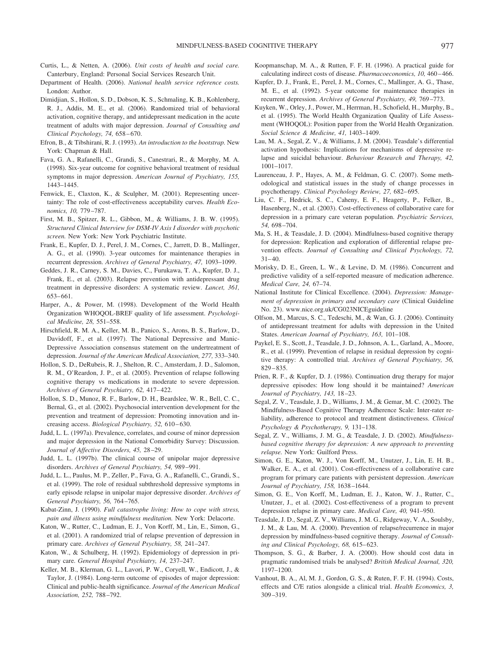- Curtis, L., & Netten, A. (2006). *Unit costs of health and social care.* Canterbury, England: Personal Social Services Research Unit.
- Department of Health. (2006). *National health service reference costs.* London: Author.
- Dimidjian, S., Hollon, S. D., Dobson, K. S., Schmaling, K. B., Kohlenberg, R. J., Addis, M. E., et al. (2006). Randomized trial of behavioral activation, cognitive therapy, and antidepressant medication in the acute treatment of adults with major depression. *Journal of Consulting and Clinical Psychology, 74,* 658 – 670.
- Efron, B., & Tibshirani, R. J. (1993). *An introduction to the bootstrap.* New York: Chapman & Hall.
- Fava, G. A., Rafanelli, C., Grandi, S., Canestrari, R., & Morphy, M. A. (1998). Six-year outcome for cognitive behavioral treatment of residual symptoms in major depression. *American Journal of Psychiatry, 155,* 1443–1445.
- Fenwick, E., Claxton, K., & Sculpher, M. (2001). Representing uncertainty: The role of cost-effectiveness acceptability curves. *Health Economics, 10,* 779 –787.
- First, M. B., Spitzer, R. L., Gibbon, M., & Williams, J. B. W. (1995). *Structured Clinical Interview for DSM-IV Axis I disorder with psychotic screen.* New York: New York Psychiatric Institute.
- Frank, E., Kupfer, D. J., Perel, J. M., Cornes, C., Jarrett, D. B., Mallinger, A. G., et al. (1990). 3-year outcomes for maintenance therapies in recurrent depression. *Archives of General Psychiatry, 47,* 1093–1099.
- Geddes, J. R., Carney, S. M., Davies, C., Furukawa, T. A., Kupfer, D. J., Frank, E., et al. (2003). Relapse prevention with antidepressant drug treatment in depressive disorders: A systematic review. *Lancet, 361,* 653– 661.
- Harper, A., & Power, M. (1998). Development of the World Health Organization WHOQOL-BREF quality of life assessment. *Psychological Medicine, 28,* 551–558.
- Hirschfield, R. M. A., Keller, M. B., Panico, S., Arons, B. S., Barlow, D., Davidoff, F., et al. (1997). The National Depressive and Manic-Depressive Association consensus statement on the undertreatment of depression. *Journal of the American Medical Association, 277,* 333–340.
- Hollon, S. D., DeRubeis, R. J., Shelton, R. C., Amsterdam, J. D., Salomon, R. M., O'Reardon, J. P., et al. (2005). Prevention of relapse following cognitive therapy vs medications in moderate to severe depression. *Archives of General Psychiatry, 62,* 417– 422.
- Hollon, S. D., Munoz, R. F., Barlow, D. H., Beardslee, W. R., Bell, C. C., Bernal, G., et al. (2002). Psychosocial intervention development for the prevention and treatment of depression: Promoting innovation and increasing access. *Biological Psychiatry, 52, 610-630*.
- Judd, L. L. (1997a). Prevalence, correlates, and course of minor depression and major depression in the National Comorbidity Survey: Discussion. *Journal of Affective Disorders, 45,* 28 –29.
- Judd, L. L. (1997b). The clinical course of unipolar major depressive disorders. *Archives of General Psychiatry, 54,* 989 –991.
- Judd, L. L., Paulus, M. P., Zeller, P., Fava, G. A., Rafanelli, C., Grandi, S., et al. (1999). The role of residual subthreshold depressive symptoms in early episode relapse in unipolar major depressive disorder. *Archives of General Psychiatry, 56,* 764 –765.
- Kabat-Zinn, J. (1990). *Full catastrophe living: How to cope with stress, pain and illness using mindfulness meditation.* New York: Delacorte.
- Katon, W., Rutter, C., Ludman, E. J., Von Korff, M., Lin, E., Simon, G., et al. (2001). A randomized trial of relapse prevention of depression in primary care. *Archives of General Psychiatry, 58,* 241–247.
- Katon, W., & Schulberg, H. (1992). Epidemiology of depression in primary care. *General Hospital Psychiatry, 14,* 237–247.
- Keller, M. B., Klerman, G. L., Lavori, P. W., Coryell, W., Endicott, J., & Taylor, J. (1984). Long-term outcome of episodes of major depression: Clinical and public-health significance. *Journal of the American Medical Association, 252,* 788 –792.
- Koopmanschap, M. A., & Rutten, F. F. H. (1996). A practical guide for calculating indirect costs of disease. *Pharmacoeconomics*, 10, 460-466.
- Kupfer, D. J., Frank, E., Perel, J. M., Cornes, C., Mallinger, A. G., Thase, M. E., et al. (1992). 5-year outcome for maintenance therapies in recurrent depression. *Archives of General Psychiatry, 49,* 769 –773.
- Kuyken, W., Orley, J., Power, M., Herrman, H., Schofield, H., Murphy, B., et al. (1995). The World Health Organization Quality of Life Assessment (WHOQOL): Position paper from the World Health Organization. *Social Science & Medicine, 41,* 1403–1409.
- Lau, M. A., Segal, Z. V., & Williams, J. M. (2004). Teasdale's differential activation hypothesis: Implications for mechanisms of depressive relapse and suicidal behaviour. *Behaviour Research and Therapy, 42,* 1001–1017.
- Laurenceau, J. P., Hayes, A. M., & Feldman, G. C. (2007). Some methodological and statistical issues in the study of change processes in psychotherapy. *Clinical Psychology Review, 27,* 682– 695.
- Liu, C. F., Hedrick, S. C., Caheny, E. F., Heagerty, P., Felker, B., Hasenberg, N., et al. (2003). Cost-effectiveness of collaborative care for depression in a primary care veteran population. *Psychiatric Services, 54,* 698 –704.
- Ma, S. H., & Teasdale, J. D. (2004). Mindfulness-based cognitive therapy for depression: Replication and exploration of differential relapse prevention effects. *Journal of Consulting and Clinical Psychology, 72,*  $31 - 40$ .
- Morisky, D. E., Green, L. W., & Levine, D. M. (1986). Concurrent and predictive validity of a self-reported measure of medication adherence. *Medical Care, 24,* 67–74.
- National Institute for Clinical Excellence. (2004). *Depression: Management of depression in primary and secondary care* (Clinical Guideline No. 23). www.nice.org.uk/CG023NICEguideline
- Olfson, M., Marcus, S. C., Tedeschi, M., & Wan, G. J. (2006). Continuity of antidepressant treatment for adults with depression in the United States. *American Journal of Psychiatry, 163,* 101–108.
- Paykel, E. S., Scott, J., Teasdale, J. D., Johnson, A. L., Garland, A., Moore, R., et al. (1999). Prevention of relapse in residual depression by cognitive therapy: A controlled trial. *Archives of General Psychiatry, 56,* 829 – 835.
- Prien, R. F., & Kupfer, D. J. (1986). Continuation drug therapy for major depressive episodes: How long should it be maintained? *American Journal of Psychiatry, 143,* 18 –23.
- Segal, Z. V., Teasdale, J. D., Williams, J. M., & Gemar, M. C. (2002). The Mindfulness-Based Cognitive Therapy Adherence Scale: Inter-rater reliability, adherence to protocol and treatment distinctiveness. *Clinical Psychology & Psychotherapy, 9,* 131–138.
- Segal, Z. V., Williams, J. M. G., & Teasdale, J. D. (2002). *Mindfulnessbased cognitive therapy for depression: A new approach to preventing relapse.* New York: Guilford Press.
- Simon, G. E., Katon, W. J., Von Korff, M., Unutzer, J., Lin, E. H. B., Walker, E. A., et al. (2001). Cost-effectiveness of a collaborative care program for primary care patients with persistent depression. *American Journal of Psychiatry, 158,* 1638 –1644.
- Simon, G. E., Von Korff, M., Ludman, E. J., Katon, W. J., Rutter, C., Unutzer, J., et al. (2002). Cost-effectiveness of a program to prevent depression relapse in primary care. *Medical Care, 40,* 941–950.
- Teasdale, J. D., Segal, Z. V., Williams, J. M. G., Ridgeway, V. A., Soulsby, J. M., & Lau, M. A. (2000). Prevention of relapse/recurrence in major depression by mindfulness-based cognitive therapy. *Journal of Consulting and Clinical Psychology, 68,* 615– 623.
- Thompson, S. G., & Barber, J. A. (2000). How should cost data in pragmatic randomised trials be analysed? *British Medical Journal, 320,* 1197–1200.
- Vanhout, B. A., Al, M. J., Gordon, G. S., & Ruten, F. F. H. (1994). Costs, effects and C/E ratios alongside a clinical trial. *Health Economics, 3,* 309 –319.